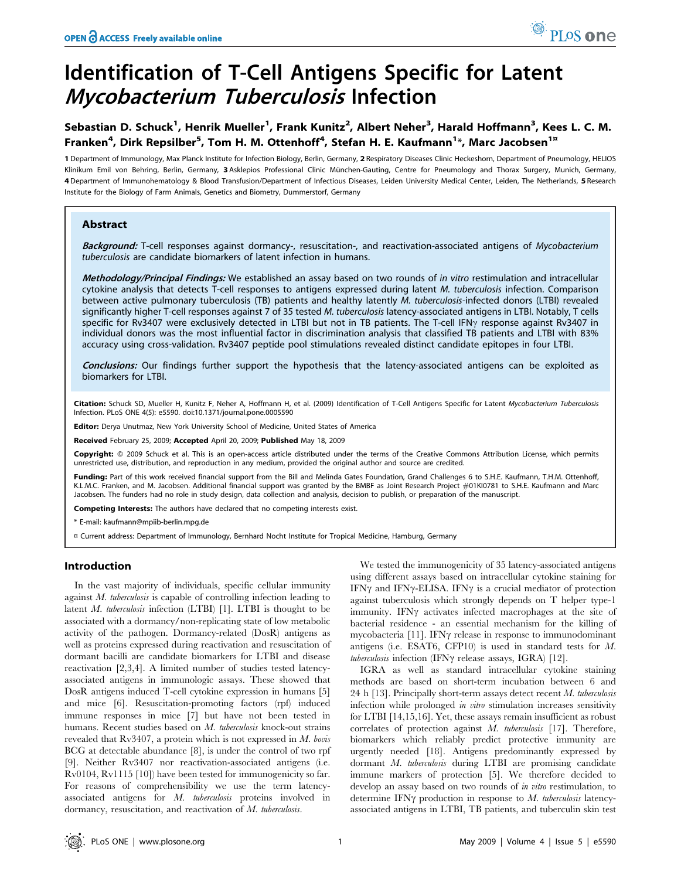# Identification of T-Cell Antigens Specific for Latent Mycobacterium Tuberculosis Infection

# Sebastian D. Schuck<sup>1</sup>, Henrik Mueller<sup>1</sup>, Frank Kunitz<sup>2</sup>, Albert Neher<sup>3</sup>, Harald Hoffmann<sup>3</sup>, Kees L. C. M. Franken<sup>4</sup>, Dirk Repsilber<sup>5</sup>, Tom H. M. Ottenhoff<sup>4</sup>, Stefan H. E. Kaufmann<sup>1</sup>\*, Marc Jacobsen<sup>1¤</sup>

1 Department of Immunology, Max Planck Institute for Infection Biology, Berlin, Germany, 2 Respiratory Diseases Clinic Heckeshorn, Department of Pneumology, HELIOS Klinikum Emil von Behring, Berlin, Germany, 3 Asklepios Professional Clinic München-Gauting, Centre for Pneumology and Thorax Surgery, Munich, Germany, 4 Department of Immunohematology & Blood Transfusion/Department of Infectious Diseases, Leiden University Medical Center, Leiden, The Netherlands, 5 Research Institute for the Biology of Farm Animals, Genetics and Biometry, Dummerstorf, Germany

### Abstract

Background: T-cell responses against dormancy-, resuscitation-, and reactivation-associated antigens of Mycobacterium tuberculosis are candidate biomarkers of latent infection in humans.

Methodology/Principal Findings: We established an assay based on two rounds of in vitro restimulation and intracellular cytokine analysis that detects T-cell responses to antigens expressed during latent M. tuberculosis infection. Comparison between active pulmonary tuberculosis (TB) patients and healthy latently M. tuberculosis-infected donors (LTBI) revealed significantly higher T-cell responses against 7 of 35 tested M. tuberculosis latency-associated antigens in LTBI. Notably, T cells specific for Rv3407 were exclusively detected in LTBI but not in TB patients. The T-cell IFN<sub>Y</sub> response against Rv3407 in individual donors was the most influential factor in discrimination analysis that classified TB patients and LTBI with 83% accuracy using cross-validation. Rv3407 peptide pool stimulations revealed distinct candidate epitopes in four LTBI.

Conclusions: Our findings further support the hypothesis that the latency-associated antigens can be exploited as biomarkers for LTBI.

Citation: Schuck SD, Mueller H, Kunitz F, Neher A, Hoffmann H, et al. (2009) Identification of T-Cell Antigens Specific for Latent Mycobacterium Tuberculosis Infection. PLoS ONE 4(5): e5590. doi:10.1371/journal.pone.0005590

Editor: Derya Unutmaz, New York University School of Medicine, United States of America

Received February 25, 2009; Accepted April 20, 2009; Published May 18, 2009

Copyright: @ 2009 Schuck et al. This is an open-access article distributed under the terms of the Creative Commons Attribution License, which permits unrestricted use, distribution, and reproduction in any medium, provided the original author and source are credited.

Funding: Part of this work received financial support from the Bill and Melinda Gates Foundation, Grand Challenges 6 to S.H.E. Kaufmann, T.H.M. Ottenhoff, K.L.M.C. Franken, and M. Jacobsen. Additional financial support was granted by the BMBF as Joint Research Project *#*01KI0781 to S.H.E. Kaufmann and Marc Jacobsen. The funders had no role in study design, data collection and analysis, decision to publish, or preparation of the manuscript.

Competing Interests: The authors have declared that no competing interests exist.

\* E-mail: kaufmann@mpiib-berlin.mpg.de

¤ Current address: Department of Immunology, Bernhard Nocht Institute for Tropical Medicine, Hamburg, Germany

#### Introduction

In the vast majority of individuals, specific cellular immunity against M. tuberculosis is capable of controlling infection leading to latent M. tuberculosis infection (LTBI) [1]. LTBI is thought to be associated with a dormancy/non-replicating state of low metabolic activity of the pathogen. Dormancy-related (DosR) antigens as well as proteins expressed during reactivation and resuscitation of dormant bacilli are candidate biomarkers for LTBI and disease reactivation [2,3,4]. A limited number of studies tested latencyassociated antigens in immunologic assays. These showed that DosR antigens induced T-cell cytokine expression in humans [5] and mice [6]. Resuscitation-promoting factors (rpf) induced immune responses in mice [7] but have not been tested in humans. Recent studies based on M. tuberculosis knock-out strains revealed that Rv3407, a protein which is not expressed in M. bovis BCG at detectable abundance [8], is under the control of two rpf [9]. Neither Rv3407 nor reactivation-associated antigens (i.e. Rv0104, Rv1115 [10]) have been tested for immunogenicity so far. For reasons of comprehensibility we use the term latencyassociated antigens for M. tuberculosis proteins involved in dormancy, resuscitation, and reactivation of M. tuberculosis.

We tested the immunogenicity of 35 latency-associated antigens using different assays based on intracellular cytokine staining for IFN $\gamma$  and IFN $\gamma$ -ELISA. IFN $\gamma$  is a crucial mediator of protection against tuberculosis which strongly depends on T helper type-1 immunity. IFNy activates infected macrophages at the site of bacterial residence - an essential mechanism for the killing of mycobacteria  $[11]$ . IFN $\gamma$  release in response to immunodominant antigens (i.e. ESAT6, CFP10) is used in standard tests for M.  $tuberculosis$  infection (IFN $\gamma$  release assays, IGRA) [12].

IGRA as well as standard intracellular cytokine staining methods are based on short-term incubation between 6 and 24 h  $[13]$ . Principally short-term assays detect recent M. tuberculosis infection while prolonged in vitro stimulation increases sensitivity for LTBI [14,15,16]. Yet, these assays remain insufficient as robust correlates of protection against M. tuberculosis [17]. Therefore, biomarkers which reliably predict protective immunity are urgently needed [18]. Antigens predominantly expressed by dormant M. tuberculosis during LTBI are promising candidate immune markers of protection [5]. We therefore decided to develop an assay based on two rounds of *in vitro* restimulation, to determine IFN $\gamma$  production in response to M. tuberculosis latencyassociated antigens in LTBI, TB patients, and tuberculin skin test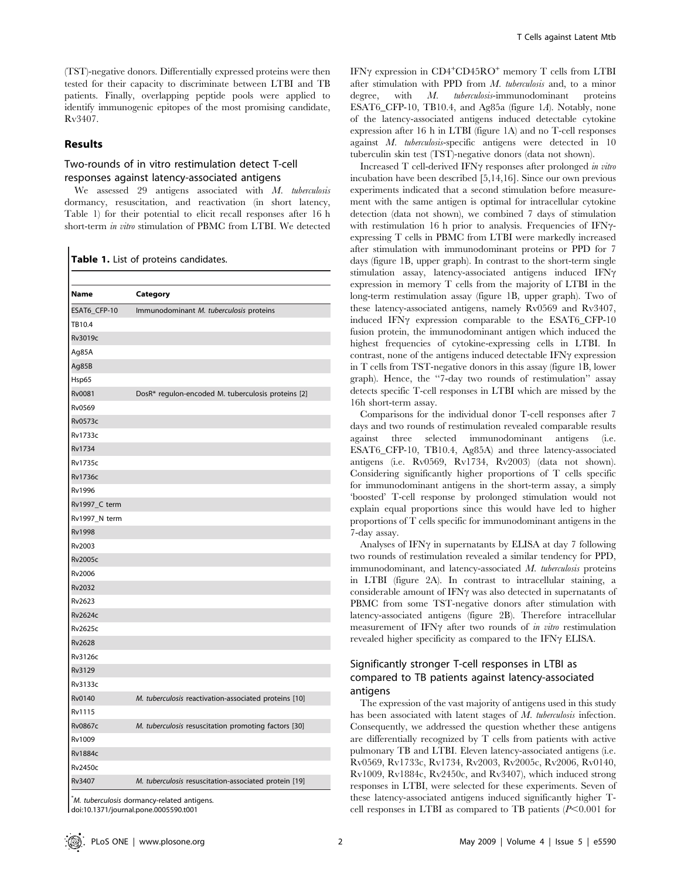(TST)-negative donors. Differentially expressed proteins were then tested for their capacity to discriminate between LTBI and TB patients. Finally, overlapping peptide pools were applied to identify immunogenic epitopes of the most promising candidate, Rv3407.

#### Results

# Two-rounds of in vitro restimulation detect T-cell responses against latency-associated antigens

We assessed 29 antigens associated with M. tuberculosis dormancy, resuscitation, and reactivation (in short latency, Table 1) for their potential to elicit recall responses after 16 h short-term in vitro stimulation of PBMC from LTBI. We detected

Table 1. List of proteins candidates.

| <b>Name</b>    | Category                                              |
|----------------|-------------------------------------------------------|
| ESAT6_CFP-10   | Immunodominant M. tuberculosis proteins               |
| TB10.4         |                                                       |
| Rv3019c        |                                                       |
| Ag85A          |                                                       |
| Ag85B          |                                                       |
| Hsp65          |                                                       |
| Rv0081         | DosR* regulon-encoded M. tuberculosis proteins [2]    |
| Rv0569         |                                                       |
| <b>Rv0573c</b> |                                                       |
| <b>Rv1733c</b> |                                                       |
| <b>Rv1734</b>  |                                                       |
| <b>Rv1735c</b> |                                                       |
| <b>Rv1736c</b> |                                                       |
| Rv1996         |                                                       |
| Rv1997_C term  |                                                       |
| Rv1997_N term  |                                                       |
| <b>Rv1998</b>  |                                                       |
| Rv2003         |                                                       |
| <b>Rv2005c</b> |                                                       |
| Rv2006         |                                                       |
| Rv2032         |                                                       |
| Rv2623         |                                                       |
| <b>Rv2624c</b> |                                                       |
| <b>Rv2625c</b> |                                                       |
| <b>Rv2628</b>  |                                                       |
| Rv3126c        |                                                       |
| Rv3129         |                                                       |
| Rv3133c        |                                                       |
| Rv0140         | M. tuberculosis reactivation-associated proteins [10] |
| <b>Rv1115</b>  |                                                       |
| <b>Rv0867c</b> | M. tuberculosis resuscitation promoting factors [30]  |
| Rv1009         |                                                       |
| <b>Rv1884c</b> |                                                       |
| <b>Rv2450c</b> |                                                       |
| Rv3407         | M. tuberculosis resuscitation-associated protein [19] |

\* M. tuberculosis dormancy-related antigens. doi:10.1371/journal.pone.0005590.t001

IFNγ expression in CD4<sup>+</sup>CD45RO<sup>+</sup> memory T cells from LTBI after stimulation with PPD from M. tuberculosis and, to a minor degree, with M. tuberculosis-immunodominant proteins ESAT6\_CFP-10, TB10.4, and Ag85a (figure 1A). Notably, none of the latency-associated antigens induced detectable cytokine expression after 16 h in LTBI (figure 1A) and no T-cell responses against M. tuberculosis-specific antigens were detected in 10 tuberculin skin test (TST)-negative donors (data not shown).

Increased  $T$  cell-derived IFN $\gamma$  responses after prolonged in vitro incubation have been described [5,14,16]. Since our own previous experiments indicated that a second stimulation before measurement with the same antigen is optimal for intracellular cytokine detection (data not shown), we combined 7 days of stimulation with restimulation 16 h prior to analysis. Frequencies of IFN $\gamma$ expressing T cells in PBMC from LTBI were markedly increased after stimulation with immunodominant proteins or PPD for 7 days (figure 1B, upper graph). In contrast to the short-term single stimulation assay, latency-associated antigens induced IFN $\gamma$ expression in memory T cells from the majority of LTBI in the long-term restimulation assay (figure 1B, upper graph). Two of these latency-associated antigens, namely Rv0569 and Rv3407, induced IFN $\gamma$  expression comparable to the ESAT6\_CFP-10 fusion protein, the immunodominant antigen which induced the highest frequencies of cytokine-expressing cells in LTBI. In contrast, none of the antigens induced detectable  $IFN\gamma$  expression in T cells from TST-negative donors in this assay (figure 1B, lower graph). Hence, the ''7-day two rounds of restimulation'' assay detects specific T-cell responses in LTBI which are missed by the 16h short-term assay.

Comparisons for the individual donor T-cell responses after 7 days and two rounds of restimulation revealed comparable results against three selected immunodominant antigens (i.e. ESAT6\_CFP-10, TB10.4, Ag85A) and three latency-associated antigens (i.e. Rv0569, Rv1734, Rv2003) (data not shown). Considering significantly higher proportions of T cells specific for immunodominant antigens in the short-term assay, a simply 'boosted' T-cell response by prolonged stimulation would not explain equal proportions since this would have led to higher proportions of T cells specific for immunodominant antigens in the 7-day assay.

Analyses of IFN $\gamma$  in supernatants by ELISA at day 7 following two rounds of restimulation revealed a similar tendency for PPD, immunodominant, and latency-associated M. tuberculosis proteins in LTBI (figure 2A). In contrast to intracellular staining, a considerable amount of IFN $\gamma$  was also detected in supernatants of PBMC from some TST-negative donors after stimulation with latency-associated antigens (figure 2B). Therefore intracellular measurement of IFN $\gamma$  after two rounds of in vitro restimulation revealed higher specificity as compared to the IFN $\gamma$  ELISA.

# Significantly stronger T-cell responses in LTBI as compared to TB patients against latency-associated antigens

The expression of the vast majority of antigens used in this study has been associated with latent stages of M. tuberculosis infection. Consequently, we addressed the question whether these antigens are differentially recognized by T cells from patients with active pulmonary TB and LTBI. Eleven latency-associated antigens (i.e. Rv0569, Rv1733c, Rv1734, Rv2003, Rv2005c, Rv2006, Rv0140, Rv1009, Rv1884c, Rv2450c, and Rv3407), which induced strong responses in LTBI, were selected for these experiments. Seven of these latency-associated antigens induced significantly higher Tcell responses in LTBI as compared to TB patients  $(P<0.001$  for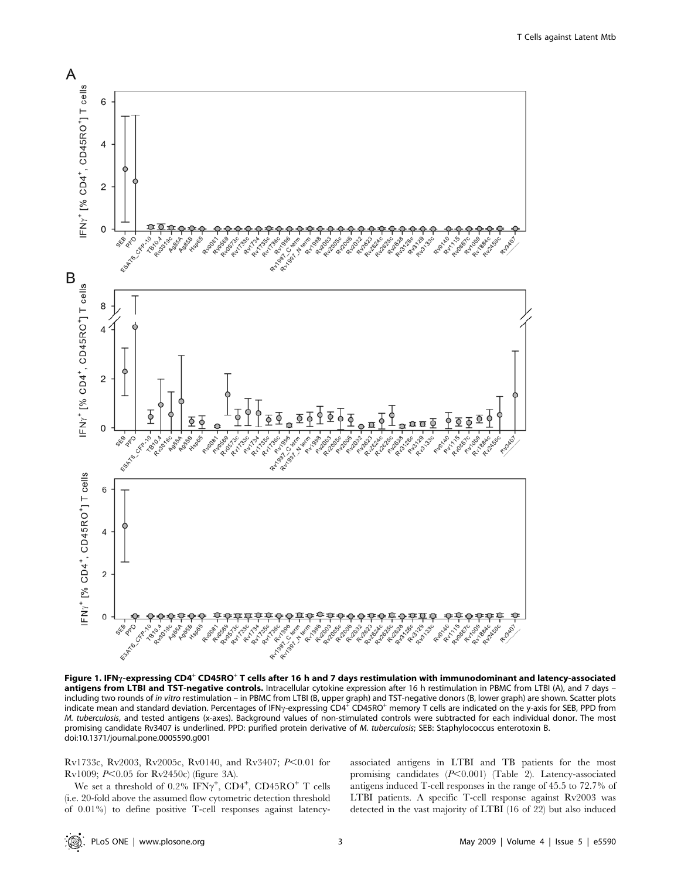

Figure 1. IFN<sub>Y</sub>-expressing CD4<sup>+</sup> CD45RO<sup>+</sup> T cells after 16 h and 7 days restimulation with immunodominant and latency-associated antigens from LTBI and TST-negative controls. Intracellular cytokine expression after 16 h restimulation in PBMC from LTBI (A), and 7 days including two rounds of *in vitro* restimulation – in PBMC from LTBI (B, upper graph) and TST-negative donors (B, lower graph) are shown. Scatter plots<br>indicate mean and standard deviation. Percentages of IFN<sub>Y</sub>-expressing M. tuberculosis, and tested antigens (x-axes). Background values of non-stimulated controls were subtracted for each individual donor. The most promising candidate Rv3407 is underlined. PPD: purified protein derivative of M. tuberculosis; SEB: Staphylococcus enterotoxin B. doi:10.1371/journal.pone.0005590.g001

Rv1733c, Rv2003, Rv2005c, Rv0140, and Rv3407;  $P<0.01$  for Rv1009;  $P<0.05$  for Rv2450c) (figure 3A).

We set a threshold of  $0.2\%$  IFN $\gamma^+$ , CD4<sup>+</sup>, CD45RO<sup>+</sup> T cells (i.e. 20-fold above the assumed flow cytometric detection threshold of 0.01%) to define positive T-cell responses against latencyassociated antigens in LTBI and TB patients for the most promising candidates  $(P<0.001)$  (Table 2). Latency-associated antigens induced T-cell responses in the range of 45.5 to 72.7% of LTBI patients. A specific T-cell response against Rv2003 was detected in the vast majority of LTBI (16 of 22) but also induced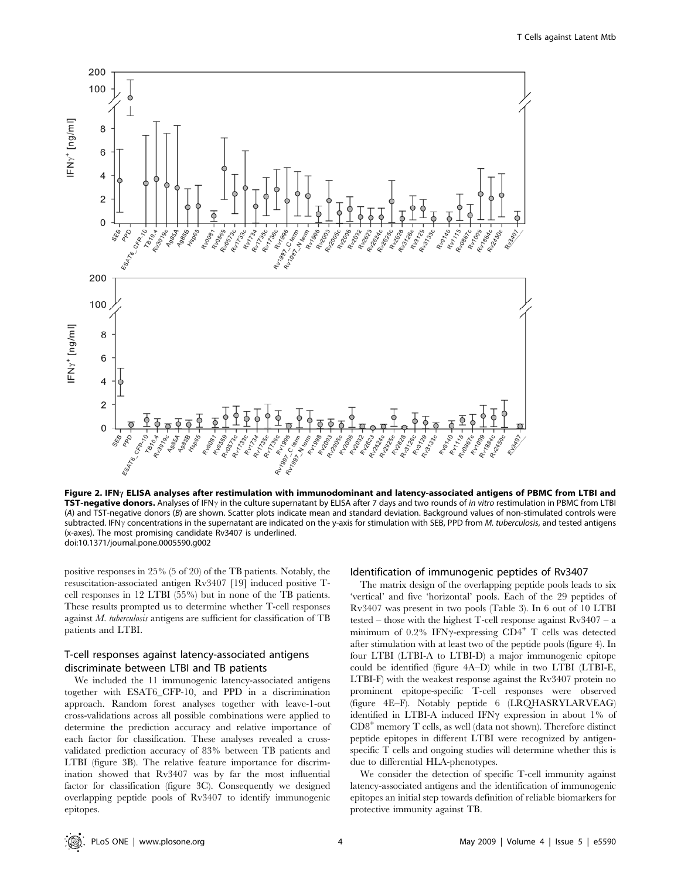

Figure 2. IFN $\gamma$  ELISA analyses after restimulation with immunodominant and latency-associated antigens of PBMC from LTBI and TST-negative donors. Analyses of IFN<sub>Y</sub> in the culture supernatant by ELISA after 7 days and two rounds of in vitro restimulation in PBMC from LTBI (A) and TST-negative donors (B) are shown. Scatter plots indicate mean and standard deviation. Background values of non-stimulated controls were subtracted. IFN $\gamma$  concentrations in the supernatant are indicated on the y-axis for stimulation with SEB, PPD from M. tuberculosis, and tested antigens (x-axes). The most promising candidate Rv3407 is underlined. doi:10.1371/journal.pone.0005590.g002

positive responses in 25% (5 of 20) of the TB patients. Notably, the resuscitation-associated antigen Rv3407 [19] induced positive Tcell responses in 12 LTBI (55%) but in none of the TB patients. These results prompted us to determine whether T-cell responses against M. tuberculosis antigens are sufficient for classification of TB patients and LTBI.

## T-cell responses against latency-associated antigens discriminate between LTBI and TB patients

We included the 11 immunogenic latency-associated antigens together with ESAT6\_CFP-10, and PPD in a discrimination approach. Random forest analyses together with leave-1-out cross-validations across all possible combinations were applied to determine the prediction accuracy and relative importance of each factor for classification. These analyses revealed a crossvalidated prediction accuracy of 83% between TB patients and LTBI (figure 3B). The relative feature importance for discrimination showed that Rv3407 was by far the most influential factor for classification (figure 3C). Consequently we designed overlapping peptide pools of Rv3407 to identify immunogenic epitopes.

#### Identification of immunogenic peptides of Rv3407

The matrix design of the overlapping peptide pools leads to six 'vertical' and five 'horizontal' pools. Each of the 29 peptides of Rv3407 was present in two pools (Table 3). In 6 out of 10 LTBI tested – those with the highest T-cell response against Rv3407 – a minimum of  $0.2\%$  IFN $\gamma$ -expressing CD4<sup>+</sup> T cells was detected after stimulation with at least two of the peptide pools (figure 4). In four LTBI (LTBI-A to LTBI-D) a major immunogenic epitope could be identified (figure 4A–D) while in two LTBI (LTBI-E, LTBI-F) with the weakest response against the Rv3407 protein no prominent epitope-specific T-cell responses were observed (figure 4E–F). Notably peptide 6 (LRQHASRYLARVEAG) identified in LTBI-A induced IFN $\gamma$  expression in about 1% of  $CD8<sup>+</sup>$  memory T cells, as well (data not shown). Therefore distinct peptide epitopes in different LTBI were recognized by antigenspecific T cells and ongoing studies will determine whether this is due to differential HLA-phenotypes.

We consider the detection of specific T-cell immunity against latency-associated antigens and the identification of immunogenic epitopes an initial step towards definition of reliable biomarkers for protective immunity against TB.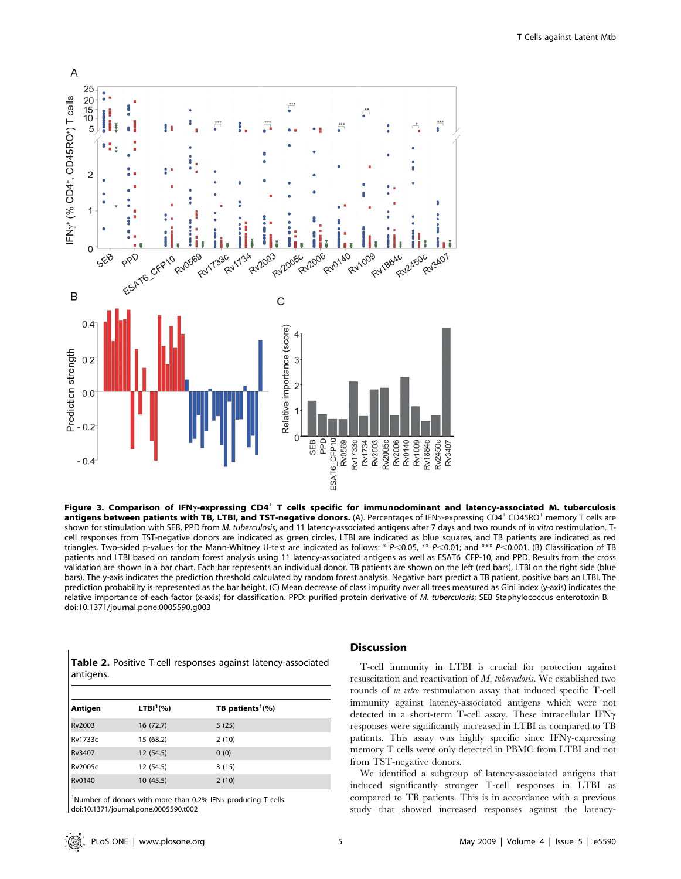

Figure 3. Comparison of IFN<sub>Y</sub>-expressing CD4<sup>+</sup> T cells specific for immunodominant and latency-associated M. tuberculosis antigens between patients with TB, LTBI, and TST-negative donors. (A). Percentages of IFN $\gamma$ -expressing CD4<sup>+</sup> CD45RO<sup>+</sup> memory T cells are shown for stimulation with SEB, PPD from M. tuberculosis, and 11 latency-associated antigens after 7 days and two rounds of in vitro restimulation. Tcell responses from TST-negative donors are indicated as green circles, LTBI are indicated as blue squares, and TB patients are indicated as red triangles. Two-sided p-values for the Mann-Whitney U-test are indicated as follows: \*  $P<0.05$ , \*\*  $P<0.01$ ; and \*\*\*  $P<0.001$ . (B) Classification of TB patients and LTBI based on random forest analysis using 11 latency-associated antigens as well as ESAT6\_CFP-10, and PPD. Results from the cross validation are shown in a bar chart. Each bar represents an individual donor. TB patients are shown on the left (red bars), LTBI on the right side (blue bars). The y-axis indicates the prediction threshold calculated by random forest analysis. Negative bars predict a TB patient, positive bars an LTBI. The prediction probability is represented as the bar height. (C) Mean decrease of class impurity over all trees measured as Gini index (y-axis) indicates the relative importance of each factor (x-axis) for classification. PPD: purified protein derivative of M. tuberculosis; SEB Staphylococcus enterotoxin B. doi:10.1371/journal.pone.0005590.g003

| <b>Table 2.</b> Positive T-cell responses against latency-associated |  |  |
|----------------------------------------------------------------------|--|--|
| antigens.                                                            |  |  |

| Antigen | LTBI <sup>1</sup> (%) | TB patients <sup>1</sup> $(%)$ |
|---------|-----------------------|--------------------------------|
| Rv2003  | 16 (72.7)             | 5(25)                          |
| Rv1733c | 15 (68.2)             | 2(10)                          |
| Rv3407  | 12(54.5)              | 0(0)                           |
| Rv2005c | 12 (54.5)             | 3(15)                          |
| Rv0140  | 10(45.5)              | 2(10)                          |

<sup>1</sup>Number of donors with more than 0.2% IFN $\gamma$ -producing T cells. doi:10.1371/journal.pone.0005590.t002

#### Discussion

T-cell immunity in LTBI is crucial for protection against resuscitation and reactivation of M. tuberculosis. We established two rounds of in vitro restimulation assay that induced specific T-cell immunity against latency-associated antigens which were not detected in a short-term T-cell assay. These intracellular  $IFN\gamma$ responses were significantly increased in LTBI as compared to TB patients. This assay was highly specific since  $IFN\gamma$ -expressing memory T cells were only detected in PBMC from LTBI and not from TST-negative donors.

We identified a subgroup of latency-associated antigens that induced significantly stronger T-cell responses in LTBI as compared to TB patients. This is in accordance with a previous study that showed increased responses against the latency-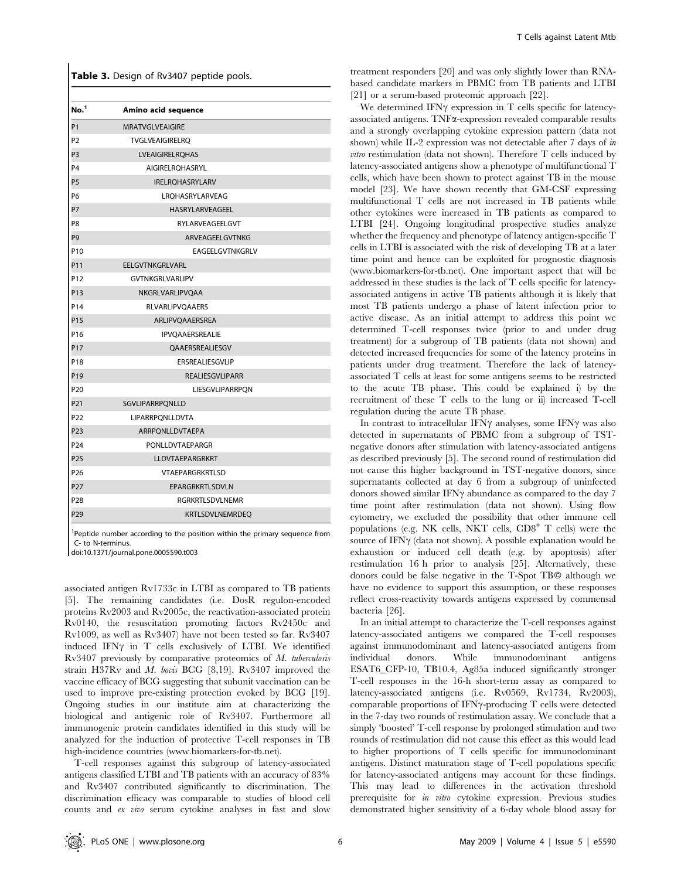|  |  | Table 3. Design of Rv3407 peptide pools. |  |  |
|--|--|------------------------------------------|--|--|
|--|--|------------------------------------------|--|--|

| No. <sup>1</sup> | Amino acid sequence    |
|------------------|------------------------|
| P <sub>1</sub>   | <b>MRATVGLVEAIGIRE</b> |
| P <sub>2</sub>   | <b>TVGLVEAIGIRELRO</b> |
| P <sub>3</sub>   | <b>LVEAIGIRELROHAS</b> |
| P <sub>4</sub>   | <b>AIGIRELROHASRYL</b> |
| P <sub>5</sub>   | IRELRQHASRYLARV        |
| P6               | LROHASRYLARVEAG        |
| P7               | HASRYLARVEAGEEL        |
| P8               | RYLARVEAGEELGVT        |
| P <sub>9</sub>   | ARVEAGEELGVTNKG        |
| P <sub>10</sub>  | EAGEELGVTNKGRLV        |
| P11              | <b>EELGVTNKGRLVARL</b> |
| P <sub>12</sub>  | <b>GVTNKGRLVARLIPV</b> |
| P <sub>13</sub>  | NKGRLVARLIPVOAA        |
| P <sub>14</sub>  | <b>RLVARLIPVOAAERS</b> |
| P <sub>15</sub>  | ARLIPVQAAERSREA        |
| P <sub>16</sub>  | <b>IPVOAAERSREALIE</b> |
| P <sub>17</sub>  | <b>OAAERSREALIESGV</b> |
| P <sub>18</sub>  | ERSREALIESGVLIP        |
| P <sub>19</sub>  | <b>REALIESGVLIPARR</b> |
| P <sub>20</sub>  | LIESGVLIPARRPQN        |
| P21              | SGVLIPARRPQNLLD        |
| P <sub>22</sub>  | LIPARRPQNLLDVTA        |
| P <sub>23</sub>  | ARRPONLLDVTAEPA        |
| P <sub>24</sub>  | PONLLDVTAEPARGR        |
| P <sub>25</sub>  | <b>LLDVTAEPARGRKRT</b> |
| P <sub>26</sub>  | VTAEPARGRKRTLSD        |
| P <sub>27</sub>  | EPARGRKRTLSDVLN        |
| P <sub>28</sub>  | <b>RGRKRTLSDVLNEMR</b> |
| P <sub>29</sub>  | <b>KRTLSDVLNEMRDEO</b> |

<sup>1</sup>Peptide number according to the position within the primary sequence from C- to N-terminus.

doi:10.1371/journal.pone.0005590.t003

associated antigen Rv1733c in LTBI as compared to TB patients [5]. The remaining candidates (i.e. DosR regulon-encoded proteins Rv2003 and Rv2005c, the reactivation-associated protein Rv0140, the resuscitation promoting factors Rv2450c and Rv1009, as well as Rv3407) have not been tested so far. Rv3407 induced IFN $\gamma$  in T cells exclusively of LTBI. We identified Rv3407 previously by comparative proteomics of M. tuberculosis strain H37Rv and M. bovis BCG [8,19]. Rv3407 improved the vaccine efficacy of BCG suggesting that subunit vaccination can be used to improve pre-existing protection evoked by BCG [19]. Ongoing studies in our institute aim at characterizing the biological and antigenic role of Rv3407. Furthermore all immunogenic protein candidates identified in this study will be analyzed for the induction of protective T-cell responses in TB high-incidence countries (www.biomarkers-for-tb.net).

T-cell responses against this subgroup of latency-associated antigens classified LTBI and TB patients with an accuracy of 83% and Rv3407 contributed significantly to discrimination. The discrimination efficacy was comparable to studies of blood cell counts and ex vivo serum cytokine analyses in fast and slow

treatment responders [20] and was only slightly lower than RNAbased candidate markers in PBMC from TB patients and LTBI [21] or a serum-based proteomic approach [22].

We determined IFN $\gamma$  expression in T cells specific for latencyassociated antigens. TNFa-expression revealed comparable results and a strongly overlapping cytokine expression pattern (data not shown) while IL-2 expression was not detectable after 7 days of in vitro restimulation (data not shown). Therefore T cells induced by latency-associated antigens show a phenotype of multifunctional T cells, which have been shown to protect against TB in the mouse model [23]. We have shown recently that GM-CSF expressing multifunctional T cells are not increased in TB patients while other cytokines were increased in TB patients as compared to LTBI [24]. Ongoing longitudinal prospective studies analyze whether the frequency and phenotype of latency antigen-specific T cells in LTBI is associated with the risk of developing TB at a later time point and hence can be exploited for prognostic diagnosis (www.biomarkers-for-tb.net). One important aspect that will be addressed in these studies is the lack of T cells specific for latencyassociated antigens in active TB patients although it is likely that most TB patients undergo a phase of latent infection prior to active disease. As an initial attempt to address this point we determined T-cell responses twice (prior to and under drug treatment) for a subgroup of TB patients (data not shown) and detected increased frequencies for some of the latency proteins in patients under drug treatment. Therefore the lack of latencyassociated T cells at least for some antigens seems to be restricted to the acute TB phase. This could be explained i) by the recruitment of these T cells to the lung or ii) increased T-cell regulation during the acute TB phase.

In contrast to intracellular IFN $\gamma$  analyses, some IFN $\gamma$  was also detected in supernatants of PBMC from a subgroup of TSTnegative donors after stimulation with latency-associated antigens as described previously [5]. The second round of restimulation did not cause this higher background in TST-negative donors, since supernatants collected at day 6 from a subgroup of uninfected donors showed similar IFN $\gamma$  abundance as compared to the day 7 time point after restimulation (data not shown). Using flow cytometry, we excluded the possibility that other immune cell populations (e.g. NK cells, NKT cells,  $CDB^+$  T cells) were the source of IFN $\gamma$  (data not shown). A possible explanation would be exhaustion or induced cell death (e.g. by apoptosis) after restimulation 16 h prior to analysis [25]. Alternatively, these donors could be false negative in the T-Spot TB© although we have no evidence to support this assumption, or these responses reflect cross-reactivity towards antigens expressed by commensal bacteria [26].

In an initial attempt to characterize the T-cell responses against latency-associated antigens we compared the T-cell responses against immunodominant and latency-associated antigens from individual donors. While immunodominant antigens ESAT6\_CFP-10, TB10.4, Ag85a induced significantly stronger T-cell responses in the 16-h short-term assay as compared to latency-associated antigens (i.e. Rv0569, Rv1734, Rv2003), comparable proportions of  $IFN\gamma$ -producing  $T$  cells were detected in the 7-day two rounds of restimulation assay. We conclude that a simply 'boosted' T-cell response by prolonged stimulation and two rounds of restimulation did not cause this effect as this would lead to higher proportions of T cells specific for immunodominant antigens. Distinct maturation stage of T-cell populations specific for latency-associated antigens may account for these findings. This may lead to differences in the activation threshold prerequisite for in vitro cytokine expression. Previous studies demonstrated higher sensitivity of a 6-day whole blood assay for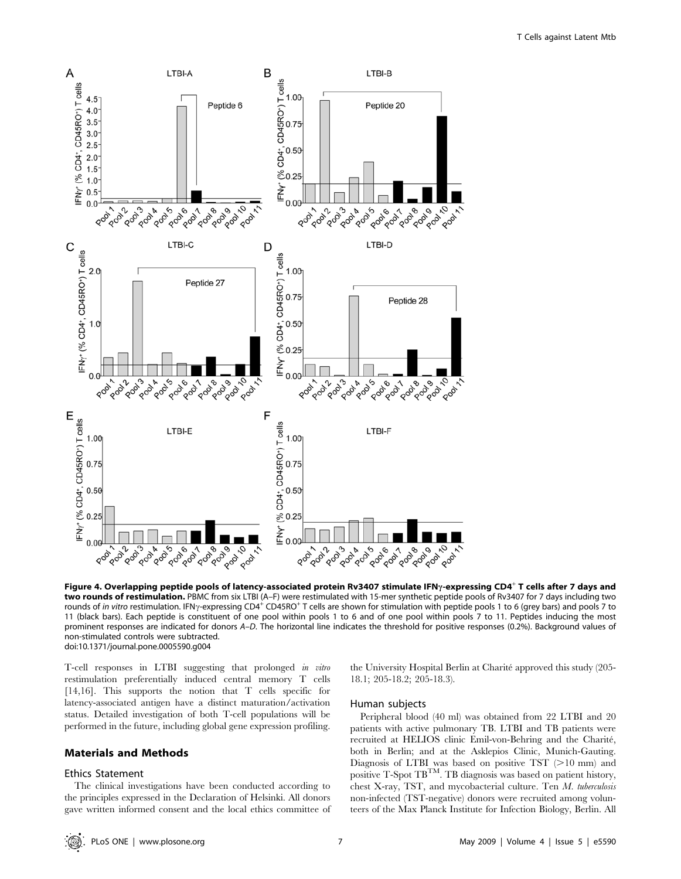

Figure 4. Overlapping peptide pools of latency-associated protein Rv3407 stimulate IFN<sub>Y</sub>-expressing CD4<sup>+</sup> T cells after 7 days and two rounds of restimulation. PBMC from six LTBI (A-F) were restimulated with 15-mer synthetic peptide pools of Rv3407 for 7 days including two rounds of in vitro restimulation. IFN<sub>Y</sub>-expressing CD4<sup>+</sup> CD45RO<sup>+</sup> T cells are shown for stimulation with peptide pools 1 to 6 (grey bars) and pools 7 to 11 (black bars). Each peptide is constituent of one pool within pools 1 to 6 and of one pool within pools 7 to 11. Peptides inducing the most prominent responses are indicated for donors A–D. The horizontal line indicates the threshold for positive responses (0.2%). Background values of non-stimulated controls were subtracted. doi:10.1371/journal.pone.0005590.g004

T-cell responses in LTBI suggesting that prolonged in vitro restimulation preferentially induced central memory T cells [14,16]. This supports the notion that T cells specific for latency-associated antigen have a distinct maturation/activation status. Detailed investigation of both T-cell populations will be performed in the future, including global gene expression profiling.

#### Materials and Methods

#### Ethics Statement

The clinical investigations have been conducted according to the principles expressed in the Declaration of Helsinki. All donors gave written informed consent and the local ethics committee of the University Hospital Berlin at Charité approved this study (205-18.1; 205-18.2; 205-18.3).

#### Human subjects

Peripheral blood (40 ml) was obtained from 22 LTBI and 20 patients with active pulmonary TB. LTBI and TB patients were recruited at HELIOS clinic Emil-von-Behring and the Charité, both in Berlin; and at the Asklepios Clinic, Munich-Gauting. Diagnosis of LTBI was based on positive TST  $(>10$  mm) and positive T-Spot TBTM. TB diagnosis was based on patient history, chest X-ray, TST, and mycobacterial culture. Ten M. tuberculosis non-infected (TST-negative) donors were recruited among volunteers of the Max Planck Institute for Infection Biology, Berlin. All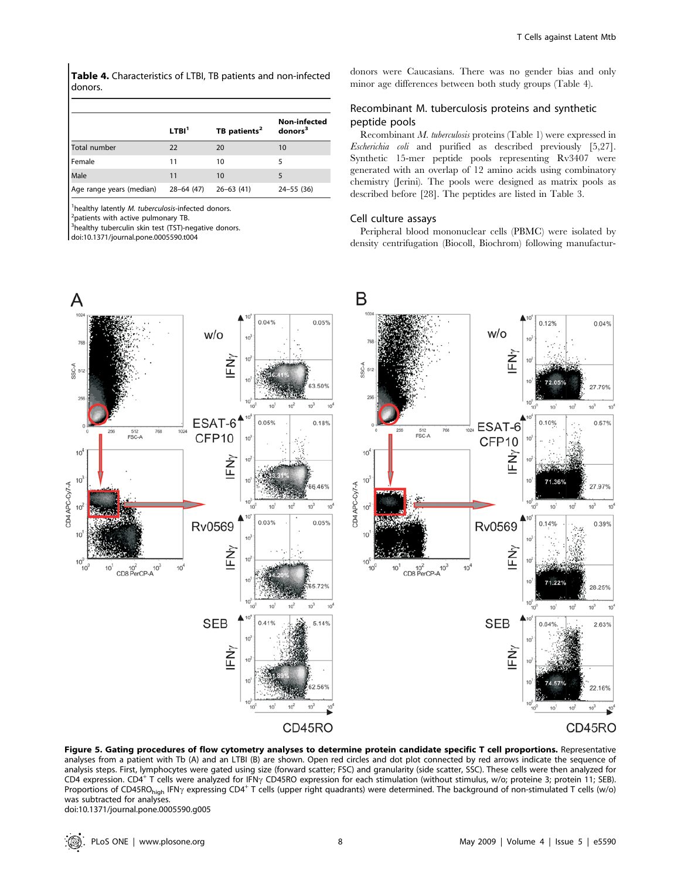Table 4. Characteristics of LTBI, TB patients and non-infected donors.

|                          | LTBI <sup>1</sup> | TB patients <sup>2</sup> | <b>Non-infected</b><br>donors <sup>3</sup> |
|--------------------------|-------------------|--------------------------|--------------------------------------------|
| Total number             | 22                | 20                       | 10                                         |
| l Female                 | 11                | 10                       |                                            |
| Male                     | 11                | 10                       |                                            |
| Age range years (median) | $28 - 64$ (47)    | $26 - 63$ (41)           | $24 - 55$ (36)                             |

<sup>1</sup>healthy latently *M. tuberculosis*-infected donors.

 $^{2}$ patients with active pulmonary TB.

<sup>3</sup>healthy tuberculin skin test (TST)-negative donors.

doi:10.1371/journal.pone.0005590.t004

donors were Caucasians. There was no gender bias and only minor age differences between both study groups (Table 4).

## Recombinant M. tuberculosis proteins and synthetic peptide pools

Recombinant M. tuberculosis proteins (Table 1) were expressed in Escherichia coli and purified as described previously [5,27]. Synthetic 15-mer peptide pools representing Rv3407 were generated with an overlap of 12 amino acids using combinatory chemistry (Jerini). The pools were designed as matrix pools as described before [28]. The peptides are listed in Table 3.

#### Cell culture assays

Peripheral blood mononuclear cells (PBMC) were isolated by density centrifugation (Biocoll, Biochrom) following manufactur-



Figure 5. Gating procedures of flow cytometry analyses to determine protein candidate specific T cell proportions. Representative analyses from a patient with Tb (A) and an LTBI (B) are shown. Open red circles and dot plot connected by red arrows indicate the sequence of analysis steps. First, lymphocytes were gated using size (forward scatter; FSC) and granularity (side scatter, SSC). These cells were then analyzed for CD4 expression. CD4<sup>+</sup> T cells were analyzed for IFN<sub>Y</sub> CD45RO expression for each stimulation (without stimulus, w/o; proteine 3; protein 11; SEB). Proportions of CD45RO<sub>high</sub> IFN<sub>Y</sub> expressing CD4<sup>+</sup> T cells (upper right quadrants) were determined. The background of non-stimulated T cells (w/o) was subtracted for analyses.

doi:10.1371/journal.pone.0005590.g005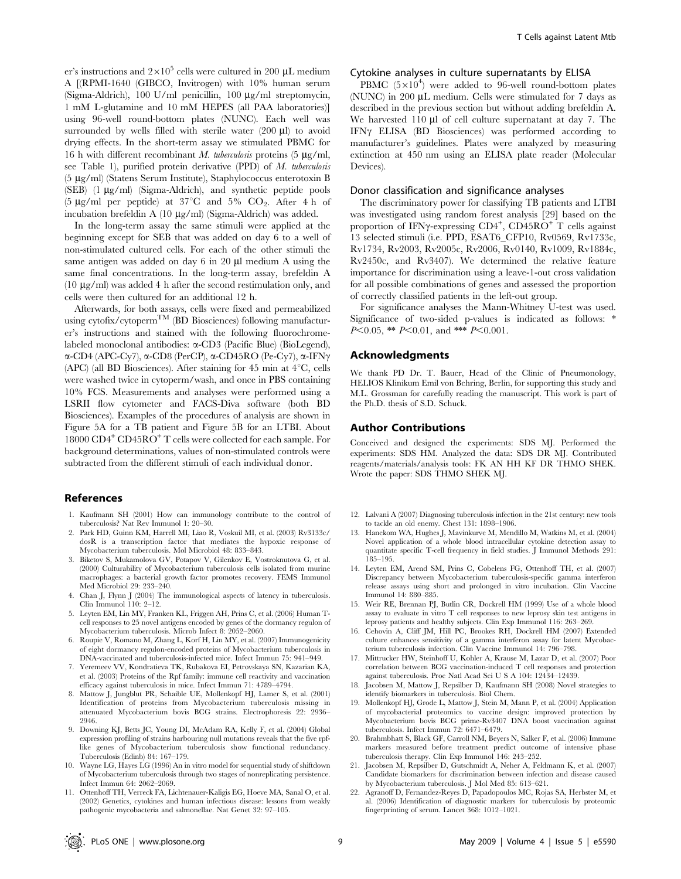er's instructions and  $2 \times 10^5$  cells were cultured in 200 µL medium A [(RPMI-1640 (GIBCO, Invitrogen) with 10% human serum (Sigma-Aldrich), 100 U/ml penicillin, 100  $\mu$ g/ml streptomycin, 1 mM L-glutamine and 10 mM HEPES (all PAA laboratories)] using 96-well round-bottom plates (NUNC). Each well was surrounded by wells filled with sterile water  $(200 \mu l)$  to avoid drying effects. In the short-term assay we stimulated PBMC for 16 h with different recombinant M. tuberculosis proteins  $(5 \text{ kg/ml})$ , see Table 1), purified protein derivative (PPD) of M. tuberculosis (5 mg/ml) (Statens Serum Institute), Staphylococcus enterotoxin B  $(SEB)$  (1  $\mu$ g/ml) (Sigma-Aldrich), and synthetic peptide pools (5  $\mu$ g/ml per peptide) at 37<sup>°</sup>C and 5% CO<sub>2</sub>. After 4 h of incubation brefeldin A (10 mg/ml) (Sigma-Aldrich) was added.

In the long-term assay the same stimuli were applied at the beginning except for SEB that was added on day 6 to a well of non-stimulated cultured cells. For each of the other stimuli the same antigen was added on day  $6 \text{ in } 20 \text{ µl}$  medium A using the same final concentrations. In the long-term assay, brefeldin A (10  $\mu$ g/ml) was added 4 h after the second restimulation only, and cells were then cultured for an additional 12 h.

Afterwards, for both assays, cells were fixed and permeabilized using cytofix/cytopermTM (BD Biosciences) following manufacturer's instructions and stained with the following fluorochromelabeled monoclonal antibodies: a-CD3 (Pacific Blue) (BioLegend),  $\alpha$ -CD4 (APC-Cy7),  $\alpha$ -CD8 (PerCP),  $\alpha$ -CD45RO (Pe-Cy7),  $\alpha$ -IFN $\gamma$ (APC) (all BD Biosciences). After staining for 45 min at  $4^{\circ}$ C, cells were washed twice in cytoperm/wash, and once in PBS containing 10% FCS. Measurements and analyses were performed using a LSRII flow cytometer and FACS-Diva software (both BD Biosciences). Examples of the procedures of analysis are shown in Figure 5A for a TB patient and Figure 5B for an LTBI. About 18000 CD4<sup>+</sup> CD45RO<sup>+</sup> T cells were collected for each sample. For background determinations, values of non-stimulated controls were subtracted from the different stimuli of each individual donor.

#### References

- 1. Kaufmann SH (2001) How can immunology contribute to the control of tuberculosis? Nat Rev Immunol 1: 20–30.
- 2. Park HD, Guinn KM, Harrell MI, Liao R, Voskuil MI, et al. (2003) Rv3133c/ dosR is a transcription factor that mediates the hypoxic response of Mycobacterium tuberculosis. Mol Microbiol 48: 833–843.
- 3. Biketov S, Mukamolova GV, Potapov V, Gilenkov E, Vostroknutova G, et al. (2000) Culturability of Mycobacterium tuberculosis cells isolated from murine macrophages: a bacterial growth factor promotes recovery. FEMS Immunol Med Microbiol 29: 233–240.
- 4. Chan J, Flynn J (2004) The immunological aspects of latency in tuberculosis. Clin Immunol  $110: 2-12$ .
- 5. Leyten EM, Lin MY, Franken KL, Friggen AH, Prins C, et al. (2006) Human Tcell responses to 25 novel antigens encoded by genes of the dormancy regulon of Mycobacterium tuberculosis. Microb Infect 8: 2052–2060.
- 6. Roupie V, Romano M, Zhang L, Korf H, Lin MY, et al. (2007) Immunogenicity of eight dormancy regulon-encoded proteins of Mycobacterium tuberculosis in DNA-vaccinated and tuberculosis-infected mice. Infect Immun 75: 941–949.
- 7. Yeremeev VV, Kondratieva TK, Rubakova EI, Petrovskaya SN, Kazarian KA, et al. (2003) Proteins of the Rpf family: immune cell reactivity and vaccination efficacy against tuberculosis in mice. Infect Immun 71: 4789–4794.
- 8. Mattow J, Jungblut PR, Schaible UE, Mollenkopf HJ, Lamer S, et al. (2001) Identification of proteins from Mycobacterium tuberculosis missing in attenuated Mycobacterium bovis BCG strains. Electrophoresis 22: 2936– 2946.
- 9. Downing KJ, Betts JC, Young DI, McAdam RA, Kelly F, et al. (2004) Global expression profiling of strains harbouring null mutations reveals that the five rpflike genes of Mycobacterium tuberculosis show functional redundancy. Tuberculosis (Edinb) 84: 167–179.
- 10. Wayne LG, Hayes LG (1996) An in vitro model for sequential study of shiftdown of Mycobacterium tuberculosis through two stages of nonreplicating persistence. Infect Immun 64: 2062–2069.
- 11. Ottenhoff TH, Verreck FA, Lichtenauer-Kaligis EG, Hoeve MA, Sanal O, et al. (2002) Genetics, cytokines and human infectious disease: lessons from weakly pathogenic mycobacteria and salmonellae. Nat Genet 32: 97–105.

#### Cytokine analyses in culture supernatants by ELISA

PBMC  $(5\times10^4)$  were added to 96-well round-bottom plates (NUNC) in 200  $\mu$ L medium. Cells were stimulated for 7 days as described in the previous section but without adding brefeldin A. We harvested  $110 \mu l$  of cell culture supernatant at day 7. The IFNY ELISA (BD Biosciences) was performed according to manufacturer's guidelines. Plates were analyzed by measuring extinction at 450 nm using an ELISA plate reader (Molecular Devices).

#### Donor classification and significance analyses

The discriminatory power for classifying TB patients and LTBI was investigated using random forest analysis [29] based on the proportion of IFNy-expressing CD4<sup>+</sup>, CD45RO<sup>+</sup> T cells against 13 selected stimuli (i.e. PPD, ESAT6\_CFP10, Rv0569, Rv1733c, Rv1734, Rv2003, Rv2005c, Rv2006, Rv0140, Rv1009, Rv1884c, Rv2450c, and Rv3407). We determined the relative feature importance for discrimination using a leave-1-out cross validation for all possible combinations of genes and assessed the proportion of correctly classified patients in the left-out group.

For significance analyses the Mann-Whitney U-test was used. Significance of two-sided p-values is indicated as follows: \*  $P<0.05$ , \*\*  $P<0.01$ , and \*\*\*  $P<0.001$ .

## Acknowledgments

We thank PD Dr. T. Bauer, Head of the Clinic of Pneumonology, HELIOS Klinikum Emil von Behring, Berlin, for supporting this study and M.L. Grossman for carefully reading the manuscript. This work is part of the Ph.D. thesis of S.D. Schuck.

#### Author Contributions

Conceived and designed the experiments: SDS MJ. Performed the experiments: SDS HM. Analyzed the data: SDS DR MJ. Contributed reagents/materials/analysis tools: FK AN HH KF DR THMO SHEK. Wrote the paper: SDS THMO SHEK MJ.

- 12. Lalvani A (2007) Diagnosing tuberculosis infection in the 21st century: new tools to tackle an old enemy. Chest 131: 1898–1906.
- 13. Hanekom WA, Hughes J, Mavinkurve M, Mendillo M, Watkins M, et al. (2004) Novel application of a whole blood intracellular cytokine detection assay to quantitate specific T-cell frequency in field studies. J Immunol Methods 291: 185–195.
- 14. Leyten EM, Arend SM, Prins C, Cobelens FG, Ottenhoff TH, et al. (2007) Discrepancy between Mycobacterium tuberculosis-specific gamma interferon release assays using short and prolonged in vitro incubation. Clin Vaccine Immunol 14: 880–885.
- 15. Weir RE, Brennan PJ, Butlin CR, Dockrell HM (1999) Use of a whole blood assay to evaluate in vitro T cell responses to new leprosy skin test antigens in leprosy patients and healthy subjects. Clin Exp Immunol 116: 263–269.
- 16. Cehovin A, Cliff JM, Hill PC, Brookes RH, Dockrell HM (2007) Extended culture enhances sensitivity of a gamma interferon assay for latent Mycobacterium tuberculosis infection. Clin Vaccine Immunol 14: 796–798.
- 17. Mittrucker HW, Steinhoff U, Kohler A, Krause M, Lazar D, et al. (2007) Poor correlation between BCG vaccination-induced T cell responses and protection against tuberculosis. Proc Natl Acad Sci U S A 104: 12434–12439.
- 18. Jacobsen M, Mattow J, Repsilber D, Kaufmann SH (2008) Novel strategies to identify biomarkers in tuberculosis. Biol Chem.
- 19. Mollenkopf HJ, Grode L, Mattow J, Stein M, Mann P, et al. (2004) Application of mycobacterial proteomics to vaccine design: improved protection by Mycobacterium bovis BCG prime-Rv3407 DNA boost vaccination against tuberculosis. Infect Immun 72: 6471–6479.
- 20. Brahmbhatt S, Black GF, Carroll NM, Beyers N, Salker F, et al. (2006) Immune markers measured before treatment predict outcome of intensive phase tuberculosis therapy. Clin Exp Immunol 146: 243–252.
- 21. Jacobsen M, Repsilber D, Gutschmidt A, Neher A, Feldmann K, et al. (2007) Candidate biomarkers for discrimination between infection and disease caused by Mycobacterium tuberculosis. J Mol Med 85: 613–621.
- 22. Agranoff D, Fernandez-Reyes D, Papadopoulos MC, Rojas SA, Herbster M, et al. (2006) Identification of diagnostic markers for tuberculosis by proteomic fingerprinting of serum. Lancet 368: 1012–1021.